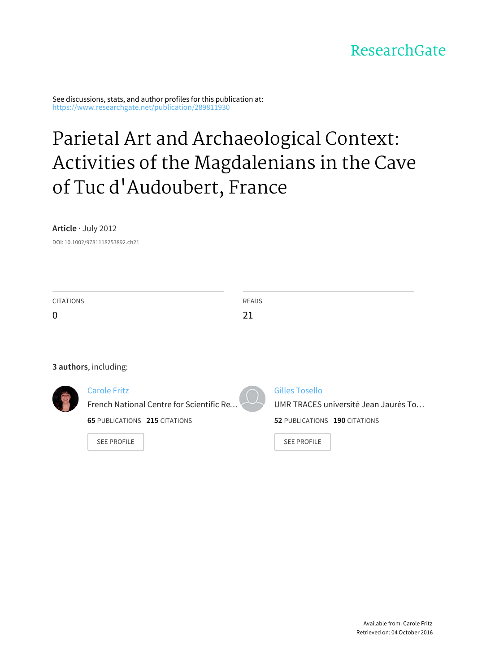# ResearchGate

See discussions, stats, and author profiles for this publication at: [https://www.researchgate.net/publication/289811930](https://www.researchgate.net/publication/289811930_Parietal_Art_and_Archaeological_Context_Activities_of_the_Magdalenians_in_the_Cave_of_Tuc_d%27Audoubert_France?enrichId=rgreq-f3213322eae5582d7a537a016a8aae8e-XXX&enrichSource=Y292ZXJQYWdlOzI4OTgxMTkzMDtBUzozNjc0Mzk2MTY0NjI4NTFAMTQ2NDYxNTgzOTkzNA%3D%3D&el=1_x_2)

# Parietal Art and [Archaeological](https://www.researchgate.net/publication/289811930_Parietal_Art_and_Archaeological_Context_Activities_of_the_Magdalenians_in_the_Cave_of_Tuc_d%27Audoubert_France?enrichId=rgreq-f3213322eae5582d7a537a016a8aae8e-XXX&enrichSource=Y292ZXJQYWdlOzI4OTgxMTkzMDtBUzozNjc0Mzk2MTY0NjI4NTFAMTQ2NDYxNTgzOTkzNA%3D%3D&el=1_x_3) Context: Activities of the Magdalenians in the Cave of Tuc d'Audoubert, France

**Article** · July 2012

DOI: 10.1002/9781118253892.ch21

| <b>CITATIONS</b> | <b>READS</b>                             |                                      |
|------------------|------------------------------------------|--------------------------------------|
| 0                | 21                                       |                                      |
|                  |                                          |                                      |
|                  |                                          |                                      |
|                  | 3 authors, including:                    |                                      |
|                  | <b>Carole Fritz</b>                      | <b>Gilles Tosello</b>                |
|                  | French National Centre for Scientific Re | UMR TRACES université Jean Jaurès To |
|                  | <b>65 PUBLICATIONS 215 CITATIONS</b>     | 52 PUBLICATIONS 190 CITATIONS        |
|                  | <b>SEE PROFILE</b>                       | <b>SEE PROFILE</b>                   |
|                  |                                          |                                      |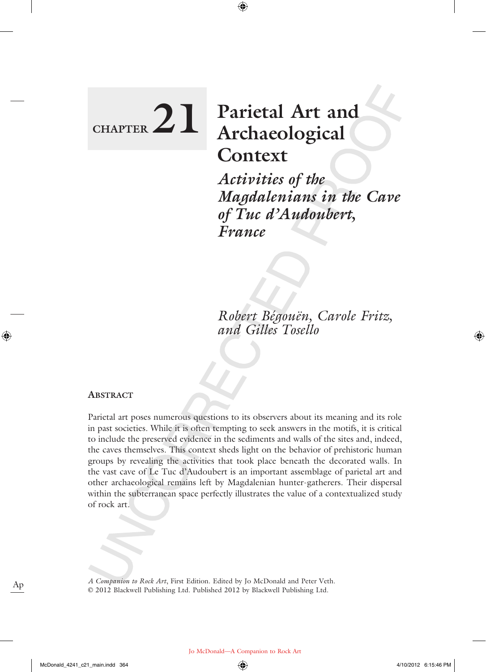# **CHAPTER 21 Parietal Art and Archaeological Context**

 $\bm \Theta$ 

*Activities of the Magdalenians in the Cave of Tuc d'Audoubert, France*

*Robert Bégouën, Carole Fritz, and Gilles Tosello*

# **Abstract**

Parietal art poses numerous questions to its observers about its meaning and its role in past societies. While it is often tempting to seek answers in the motifs, it is critical to include the preserved evidence in the sediments and walls of the sites and, indeed, the caves themselves. This context sheds light on the behavior of prehistoric human groups by revealing the activities that took place beneath the decorated walls. In the vast cave of Le Tuc d'Audoubert is an important assemblage of parietal art and other archaeological remains left by Magdalenian hunter-gatherers. Their dispersal within the subterranean space perfectly illustrates the value of a contextualized study of rock art.

Ap *A Companion to Rock Art*, first edition. Edited by Jo McDonald and Peter Veth. © 2012 Blackwell Publishing Ltd. Published 2012 by Blackwell Publishing Ltd.

⊕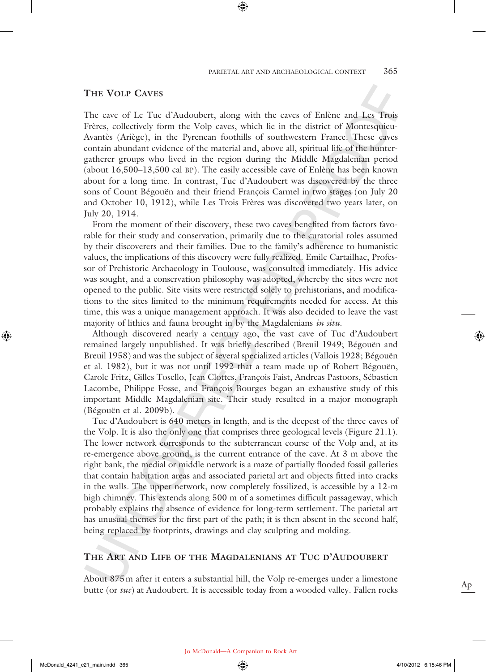# **The Volp Caves**

The cave of Le Tuc d'Audoubert, along with the caves of Enlène and Les Trois Frères, collectively form the Volp caves, which lie in the district of Montesquieu-Avantès (Ariège), in the Pyrenean foothills of southwestern France. These caves contain abundant evidence of the material and, above all, spiritual life of the huntergatherer groups who lived in the region during the Middle Magdalenian period (about  $16,500-13,500$  cal BP). The easily accessible cave of Enlène has been known about for a long time. In contrast, Tuc d'Audoubert was discovered by the three sons of Count Bégouën and their friend François Carmel in two stages (on July 20 and October 10, 1912), while Les Trois Frères was discovered two years later, on July 20, 1914.

 $\circledast$ 

From the moment of their discovery, these two caves benefited from factors favorable for their study and conservation, primarily due to the curatorial roles assumed by their discoverers and their families. Due to the family's adherence to humanistic values, the implications of this discovery were fully realized. Emile Cartailhac, Professor of Prehistoric Archaeology in Toulouse, was consulted immediately. His advice was sought, and a conservation philosophy was adopted, whereby the sites were not opened to the public. Site visits were restricted solely to prehistorians, and modifications to the sites limited to the minimum requirements needed for access. At this time, this was a unique management approach. It was also decided to leave the vast majority of lithics and fauna brought in by the Magdalenians *in situ*.

Although discovered nearly a century ago, the vast cave of Tuc d'Audoubert remained largely unpublished. It was briefly described (Breuil 1949; Bégouën and Breuil 1958) and was the subject of several specialized articles (Vallois 1928; Bégouën et al. 1982), but it was not until 1992 that a team made up of Robert Bégouën, Carole Fritz, Gilles Tosello, Jean Clottes, François Faist, Andreas Pastoors, Sébastien Lacombe, Philippe Fosse, and François Bourges began an exhaustive study of this important Middle Magdalenian site. Their study resulted in a major monograph (Bégouën et al. 2009b).

Tuc d'Audoubert is 640 meters in length, and is the deepest of the three caves of the Volp. It is also the only one that comprises three geological levels (Figure 21.1). The lower network corresponds to the subterranean course of the Volp and, at its re-emergence above ground, is the current entrance of the cave. At 3 m above the right bank, the medial or middle network is a maze of partially flooded fossil galleries that contain habitation areas and associated parietal art and objects fitted into cracks in the walls. The upper network, now completely fossilized, is accessible by a 12-m high chimney. This extends along 500 m of a sometimes difficult passageway, which probably explains the absence of evidence for long-term settlement. The parietal art has unusual themes for the first part of the path; it is then absent in the second half, being replaced by footprints, drawings and clay sculpting and molding.

# **The Art and Life of the Magdalenians at Tuc d'Audoubert**

About 875m after it enters a substantial hill, the Volp re-emerges under a limestone butte (or *tuc*) at Audoubert. It is accessible today from a wooded valley. Fallen rocks

⊕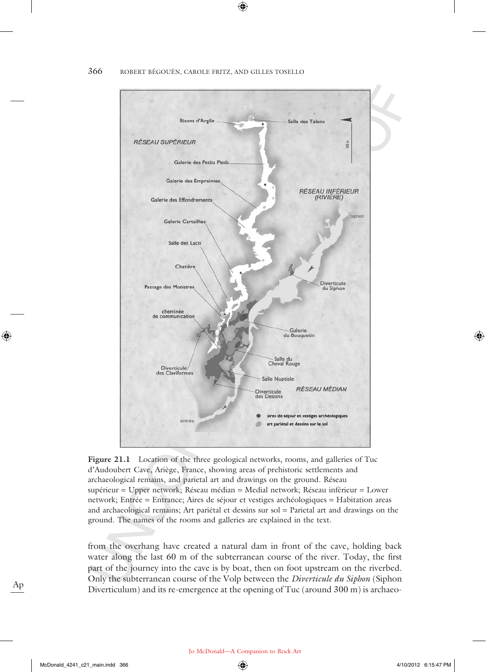

Figure 21.1 Location of the three geological networks, rooms, and galleries of Tuc d'Audoubert Cave, Ariège, France, showing areas of prehistoric settlements and archaeological remains, and parietal art and drawings on the ground. Réseau supérieur = Upper network; Réseau médian = Medial network; Réseau inférieur = Lower network; Entrée = Entrance; Aires de séjour et vestiges archéologiques = Habitation areas and archaeological remains; Art pariétal et dessins sur sol = Parietal art and drawings on the ground. The names of the rooms and galleries are explained in the text.

from the overhang have created a natural dam in front of the cave, holding back water along the last 60 m of the subterranean course of the river. Today, the first part of the journey into the cave is by boat, then on foot upstream on the riverbed. Only the subterranean course of the Volp between the *Diverticule du Siphon* (Siphon Diverticulum) and its re-emergence at the opening of Tuc (around 300 m) is archaeo-

## 366 Robert Bégouën, Carole Fritz, and Gilles Tosello

 $\bigoplus$ 

Ap

⊕

♠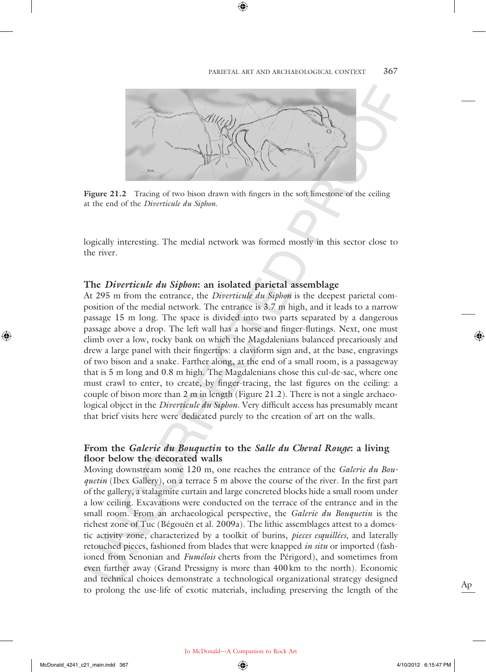

 $\circledast$ 

Figure 21.2 Tracing of two bison drawn with fingers in the soft limestone of the ceiling at the end of the *Diverticule du Siphon*.

logically interesting. The medial network was formed mostly in this sector close to the river.

# **The** *Diverticule du Siphon***: an isolated parietal assemblage**

At 295 m from the entrance, the *Diverticule du Siphon* is the deepest parietal composition of the medial network. The entrance is 3.7 m high, and it leads to a narrow passage 15 m long. The space is divided into two parts separated by a dangerous passage above a drop. The left wall has a horse and finger-flutings. Next, one must climb over a low, rocky bank on which the Magdalenians balanced precariously and drew a large panel with their fingertips: a claviform sign and, at the base, engravings of two bison and a snake. Farther along, at the end of a small room, is a passageway that is 5 m long and 0.8 m high. The Magdalenians chose this cul-de-sac, where one must crawl to enter, to create, by finger-tracing, the last figures on the ceiling: a couple of bison more than 2 m in length (Figure 21.2). There is not a single archaeological object in the *Diverticule du Siphon*. Very difficult access has presumably meant that brief visits here were dedicated purely to the creation of art on the walls.

# **From the** *Galerie du Bouquetin* **to the** *Salle du Cheval Rouge***: a living**  floor below the decorated walls

Moving downstream some 120 m, one reaches the entrance of the *Galerie du Bouquetin* (Ibex Gallery), on a terrace 5 m above the course of the river. In the first part of the gallery, a stalagmite curtain and large concreted blocks hide a small room under a low ceiling. Excavations were conducted on the terrace of the entrance and in the small room. From an archaeological perspective, the *Galerie du Bouquetin* is the richest zone of Tuc (Bégouën et al. 2009a). The lithic assemblages attest to a domestic activity zone, characterized by a toolkit of burins, *pieces esquillées*, and laterally retouched pieces, fashioned from blades that were knapped *in situ* or imported (fashioned from Senonian and *Fumélois* cherts from the Périgord), and sometimes from even further away (Grand Pressigny is more than 400km to the north). Economic and technical choices demonstrate a technological organizational strategy designed to prolong the use-life of exotic materials, including preserving the length of the

⊕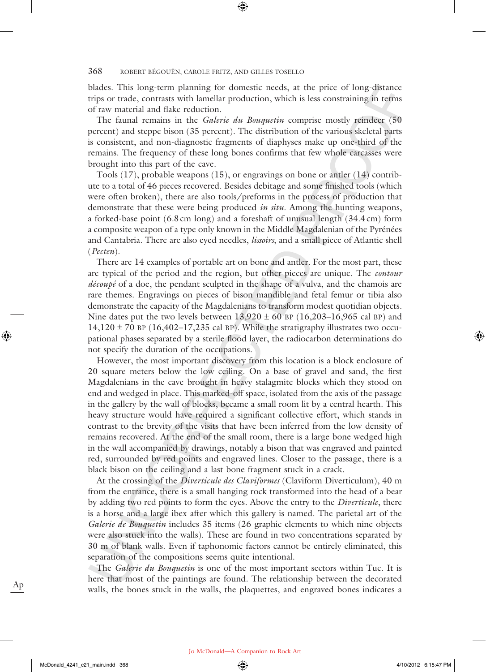blades. This long-term planning for domestic needs, at the price of long-distance trips or trade, contrasts with lamellar production, which is less constraining in terms of raw material and flake reduction.

⊕

The faunal remains in the *Galerie du Bouquetin* comprise mostly reindeer (50 percent) and steppe bison (35 percent). The distribution of the various skeletal parts is consistent, and non-diagnostic fragments of diaphyses make up one-third of the remains. The frequency of these long bones confirms that few whole carcasses were brought into this part of the cave.

Tools (17), probable weapons (15), or engravings on bone or antler (14) contribute to a total of 46 pieces recovered. Besides debitage and some finished tools (which were often broken), there are also tools/preforms in the process of production that demonstrate that these were being produced *in situ*. Among the hunting weapons, a forked-base point (6.8cm long) and a foreshaft of unusual length (34.4cm) form a composite weapon of a type only known in the Middle Magdalenian of the Pyrénées and Cantabria. There are also eyed needles, *lissoirs*, and a small piece of Atlantic shell (*Pecten*).

There are 14 examples of portable art on bone and antler. For the most part, these are typical of the period and the region, but other pieces are unique. The *contour découpé* of a doe, the pendant sculpted in the shape of a vulva, and the chamois are rare themes. Engravings on pieces of bison mandible and fetal femur or tibia also demonstrate the capacity of the Magdalenians to transform modest quotidian objects. Nine dates put the two levels between  $13,920 \pm 60$  BP (16,203–16,965 cal BP) and  $14,120 \pm 70$  BP ( $16,402-17,235$  cal BP). While the stratigraphy illustrates two occupational phases separated by a sterile flood layer, the radiocarbon determinations do not specify the duration of the occupations.

However, the most important discovery from this location is a block enclosure of 20 square meters below the low ceiling. On a base of gravel and sand, the first Magdalenians in the cave brought in heavy stalagmite blocks which they stood on end and wedged in place. This marked-off space, isolated from the axis of the passage in the gallery by the wall of blocks, became a small room lit by a central hearth. This heavy structure would have required a significant collective effort, which stands in contrast to the brevity of the visits that have been inferred from the low density of remains recovered. At the end of the small room, there is a large bone wedged high in the wall accompanied by drawings, notably a bison that was engraved and painted red, surrounded by red points and engraved lines. Closer to the passage, there is a black bison on the ceiling and a last bone fragment stuck in a crack.

At the crossing of the *Diverticule des Claviformes* (Claviform Diverticulum), 40 m from the entrance, there is a small hanging rock transformed into the head of a bear by adding two red points to form the eyes. Above the entry to the *Diverticule*, there is a horse and a large ibex after which this gallery is named. The parietal art of the *Galerie de Bouquetin* includes 35 items (26 graphic elements to which nine objects were also stuck into the walls). These are found in two concentrations separated by 30 m of blank walls. Even if taphonomic factors cannot be entirely eliminated, this separation of the compositions seems quite intentional.

The *Galerie du Bouquetin* is one of the most important sectors within Tuc. It is here that most of the paintings are found. The relationship between the decorated walls, the bones stuck in the walls, the plaquettes, and engraved bones indicates a

Ap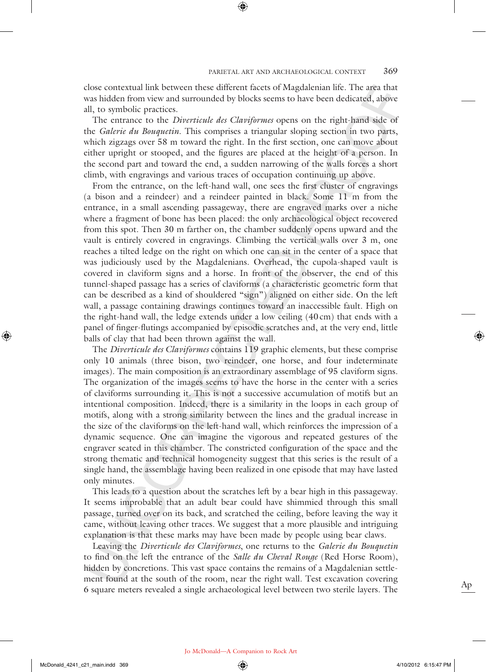close contextual link between these different facets of Magdalenian life. The area that was hidden from view and surrounded by blocks seems to have been dedicated, above all, to symbolic practices.

⊕

The entrance to the *Diverticule des Claviformes* opens on the right-hand side of the *Galerie du Bouquetin*. This comprises a triangular sloping section in two parts, which zigzags over 58 m toward the right. In the first section, one can move about either upright or stooped, and the figures are placed at the height of a person. In the second part and toward the end, a sudden narrowing of the walls forces a short climb, with engravings and various traces of occupation continuing up above.

From the entrance, on the left-hand wall, one sees the first cluster of engravings (a bison and a reindeer) and a reindeer painted in black. Some 11 m from the entrance, in a small ascending passageway, there are engraved marks over a niche where a fragment of bone has been placed: the only archaeological object recovered from this spot. Then 30 m farther on, the chamber suddenly opens upward and the vault is entirely covered in engravings. Climbing the vertical walls over 3 m, one reaches a tilted ledge on the right on which one can sit in the center of a space that was judiciously used by the Magdalenians. Overhead, the cupola-shaped vault is covered in claviform signs and a horse. In front of the observer, the end of this tunnel-shaped passage has a series of claviforms (a characteristic geometric form that can be described as a kind of shouldered "sign") aligned on either side. On the left wall, a passage containing drawings continues toward an inaccessible fault. High on the right-hand wall, the ledge extends under a low ceiling (40cm) that ends with a panel of finger-flutings accompanied by episodic scratches and, at the very end, little balls of clay that had been thrown against the wall.

The *Diverticule des Claviformes* contains 119 graphic elements, but these comprise only 10 animals (three bison, two reindeer, one horse, and four indeterminate images). The main composition is an extraordinary assemblage of 95 claviform signs. The organization of the images seems to have the horse in the center with a series of claviforms surrounding it. This is not a successive accumulation of motifs but an intentional composition. Indeed, there is a similarity in the loops in each group of motifs, along with a strong similarity between the lines and the gradual increase in the size of the claviforms on the left-hand wall, which reinforces the impression of a dynamic sequence. One can imagine the vigorous and repeated gestures of the engraver seated in this chamber. The constricted configuration of the space and the strong thematic and technical homogeneity suggest that this series is the result of a single hand, the assemblage having been realized in one episode that may have lasted only minutes.

This leads to a question about the scratches left by a bear high in this passageway. It seems improbable that an adult bear could have shimmied through this small passage, turned over on its back, and scratched the ceiling, before leaving the way it came, without leaving other traces. We suggest that a more plausible and intriguing explanation is that these marks may have been made by people using bear claws.

Leaving the *Diverticule des Claviformes*, one returns to the *Galerie du Bouquetin* to find on the left the entrance of the *Salle du Cheval Rouge* (Red Horse Room), hidden by concretions. This vast space contains the remains of a Magdalenian settlement found at the south of the room, near the right wall. Test excavation covering 6 square meters revealed a single archaeological level between two sterile layers. The

⊕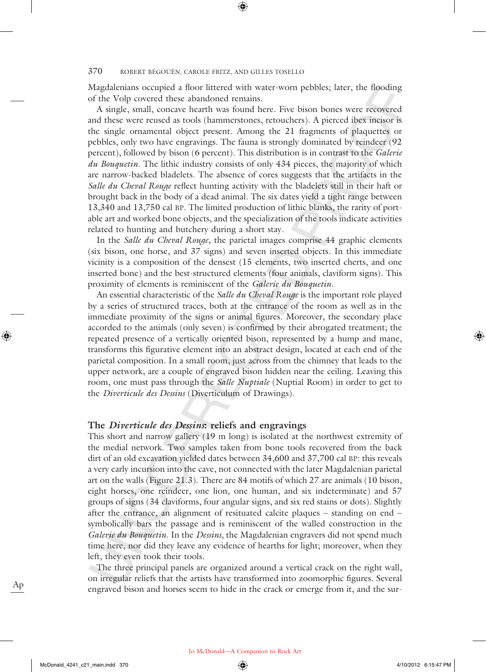Magdalenians occupied a floor littered with water-worn pebbles; later, the flooding of the Volp covered these abandoned remains.

⊕

A single, small, concave hearth was found here. Five bison bones were recovered and these were reused as tools (hammerstones, retouchers). A pierced ibex incisor is the single ornamental object present. Among the 21 fragments of plaquettes or pebbles, only two have engravings. The fauna is strongly dominated by reindeer (92 percent), followed by bison (6 percent). This distribution is in contrast to the *Galerie du Bouquetin*. The lithic industry consists of only 434 pieces, the majority of which are narrow-backed bladelets. The absence of cores suggests that the artifacts in the *Salle du Cheval Rouge* reflect hunting activity with the bladelets still in their haft or brought back in the body of a dead animal. The six dates yield a tight range between 13,340 and 13,750 cal BP. The limited production of lithic blanks, the rarity of portable art and worked bone objects, and the specialization of the tools indicate activities related to hunting and butchery during a short stay.

In the *Salle du Cheval Rouge*, the parietal images comprise 44 graphic elements (six bison, one horse, and 37 signs) and seven inserted objects. In this immediate vicinity is a composition of the densest (15 elements, two inserted cherts, and one inserted bone) and the best-structured elements (four animals, claviform signs). This proximity of elements is reminiscent of the *Galerie du Bouquetin*.

An essential characteristic of the *Salle du Cheval Rouge* is the important role played by a series of structured traces, both at the entrance of the room as well as in the immediate proximity of the signs or animal figures. Moreover, the secondary place accorded to the animals (only seven) is confirmed by their abrogated treatment; the repeated presence of a vertically oriented bison, represented by a hump and mane, transforms this figurative element into an abstract design, located at each end of the parietal composition. In a small room, just across from the chimney that leads to the upper network, are a couple of engraved bison hidden near the ceiling. Leaving this room, one must pass through the *Salle Nuptiale* (Nuptial Room) in order to get to the *Diverticule des Dessins* (Diverticulum of Drawings).

# **The** *Diverticule des Dessins***: reliefs and engravings**

This short and narrow gallery (19 m long) is isolated at the northwest extremity of the medial network. Two samples taken from bone tools recovered from the back dirt of an old excavation yielded dates between 34,600 and 37,700 cal BP: this reveals a very early incursion into the cave, not connected with the later Magdalenian parietal art on the walls (Figure 21.3). There are 84 motifs of which 27 are animals (10 bison, eight horses, one reindeer, one lion, one human, and six indeterminate) and 57 groups of signs (34 claviforms, four angular signs, and six red stains or dots). Slightly after the entrance, an alignment of resituated calcite plaques – standing on end – symbolically bars the passage and is reminiscent of the walled construction in the *Galerie du Bouquetin*. In the *Dessins*, the Magdalenian engravers did not spend much time here, nor did they leave any evidence of hearths for light; moreover, when they left, they even took their tools.

The three principal panels are organized around a vertical crack on the right wall, on irregular reliefs that the artists have transformed into zoomorphic figures. Several engraved bison and horses seem to hide in the crack or emerge from it, and the sur-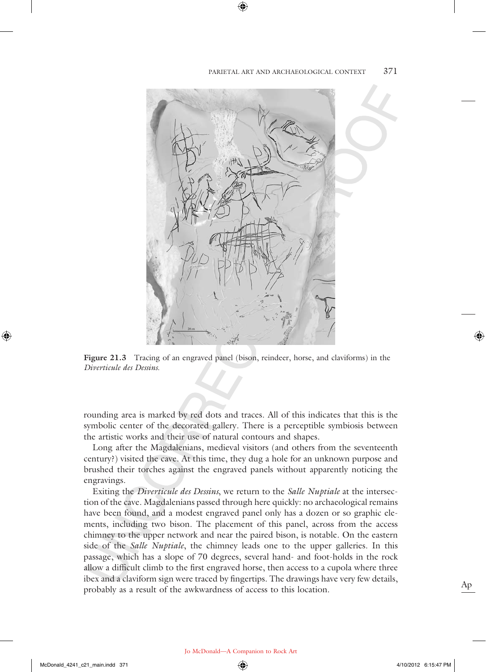# PARIETAL ART AND ARCHAEOLOGICAL CONTEXT 371



⊕

**Figure 21.3** Tracing of an engraved panel (bison, reindeer, horse, and claviforms) in the *Diverticule des Dessins*.

rounding area is marked by red dots and traces. All of this indicates that this is the symbolic center of the decorated gallery. There is a perceptible symbiosis between the artistic works and their use of natural contours and shapes.

Long after the Magdalenians, medieval visitors (and others from the seventeenth century?) visited the cave. At this time, they dug a hole for an unknown purpose and brushed their torches against the engraved panels without apparently noticing the engravings.

Exiting the *Diverticule des Dessins*, we return to the *Salle Nuptiale* at the intersection of the cave. Magdalenians passed through here quickly: no archaeological remains have been found, and a modest engraved panel only has a dozen or so graphic elements, including two bison. The placement of this panel, across from the access chimney to the upper network and near the paired bison, is notable. On the eastern side of the *Salle Nuptiale*, the chimney leads one to the upper galleries. In this passage, which has a slope of 70 degrees, several hand- and foot-holds in the rock allow a difficult climb to the first engraved horse, then access to a cupola where three ibex and a claviform sign were traced by fingertips. The drawings have very few details, probably as a result of the awkwardness of access to this location.

⊕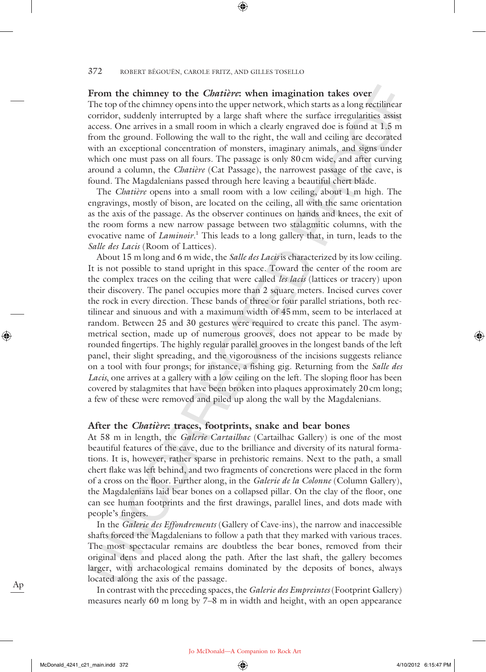# **From the chimney to the** *Chatière***: when imagination takes over**

The top of the chimney opens into the upper network, which starts as a long rectilinear corridor, suddenly interrupted by a large shaft where the surface irregularities assist access. One arrives in a small room in which a clearly engraved doe is found at 1.5 m from the ground. Following the wall to the right, the wall and ceiling are decorated with an exceptional concentration of monsters, imaginary animals, and signs under which one must pass on all fours. The passage is only 80cm wide, and after curving around a column, the *Chatière* (Cat Passage), the narrowest passage of the cave, is found. The Magdalenians passed through here leaving a beautiful chert blade.

⊕

The *Chatière* opens into a small room with a low ceiling, about 1 m high. The engravings, mostly of bison, are located on the ceiling, all with the same orientation as the axis of the passage. As the observer continues on hands and knees, the exit of the room forms a new narrow passage between two stalagmitic columns, with the evocative name of *Laminoir*.<sup>1</sup> This leads to a long gallery that, in turn, leads to the *Salle des Lacis* (Room of Lattices).

About 15 m long and 6 m wide, the *Salle des Lacis* is characterized by its low ceiling. It is not possible to stand upright in this space. Toward the center of the room are the complex traces on the ceiling that were called *les lacis* (lattices or tracery) upon their discovery. The panel occupies more than 2 square meters. Incised curves cover the rock in every direction. These bands of three or four parallel striations, both rectilinear and sinuous and with a maximum width of 45mm, seem to be interlaced at random. Between 25 and 30 gestures were required to create this panel. The asymmetrical section, made up of numerous grooves, does not appear to be made by rounded fingertips. The highly regular parallel grooves in the longest bands of the left panel, their slight spreading, and the vigorousness of the incisions suggests reliance on a tool with four prongs; for instance, a fishing gig. Returning from the *Salle des Lacis*, one arrives at a gallery with a low ceiling on the left. The sloping floor has been covered by stalagmites that have been broken into plaques approximately 20cm long; a few of these were removed and piled up along the wall by the Magdalenians.

# **After the** *Chatière***: traces, footprints, snake and bear bones**

At 58 m in length, the *Galerie Cartailhac* (Cartailhac Gallery) is one of the most beautiful features of the cave, due to the brilliance and diversity of its natural formations. It is, however, rather sparse in prehistoric remains. Next to the path, a small chert flake was left behind, and two fragments of concretions were placed in the form of a cross on the floor. Further along, in the *Galerie de la Colonne* (Column Gallery), the Magdalenians laid bear bones on a collapsed pillar. On the clay of the floor, one can see human footprints and the first drawings, parallel lines, and dots made with people's fingers.

In the *Galerie des Effondrements* (Gallery of Cave-ins), the narrow and inaccessible shafts forced the Magdalenians to follow a path that they marked with various traces. The most spectacular remains are doubtless the bear bones, removed from their original dens and placed along the path. After the last shaft, the gallery becomes larger, with archaeological remains dominated by the deposits of bones, always located along the axis of the passage.

In contrast with the preceding spaces, the *Galerie des Empreintes* (Footprint Gallery) measures nearly 60 m long by 7–8 m in width and height, with an open appearance

Ap

Jo McDonald—A Companion to Rock Art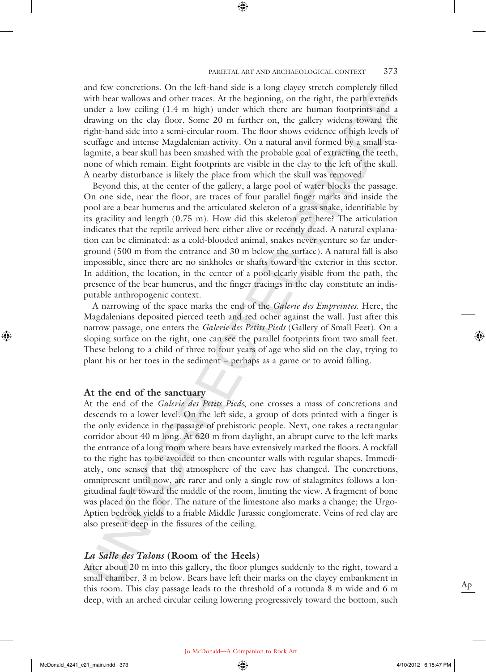### PARIETAL ART AND ARCHAEOLOGICAL CONTEXT 373

and few concretions. On the left-hand side is a long clayey stretch completely filled with bear wallows and other traces. At the beginning, on the right, the path extends under a low ceiling (1.4 m high) under which there are human footprints and a drawing on the clay floor. Some 20 m further on, the gallery widens toward the right-hand side into a semi-circular room. The floor shows evidence of high levels of scuffage and intense Magdalenian activity. On a natural anvil formed by a small stalagmite, a bear skull has been smashed with the probable goal of extracting the teeth, none of which remain. Eight footprints are visible in the clay to the left of the skull. A nearby disturbance is likely the place from which the skull was removed.

 $\circledast$ 

Beyond this, at the center of the gallery, a large pool of water blocks the passage. On one side, near the floor, are traces of four parallel finger marks and inside the pool are a bear humerus and the articulated skeleton of a grass snake, identifiable by its gracility and length (0.75 m). How did this skeleton get here? The articulation indicates that the reptile arrived here either alive or recently dead. A natural explanation can be eliminated: as a cold-blooded animal, snakes never venture so far underground (500 m from the entrance and 30 m below the surface). A natural fall is also impossible, since there are no sinkholes or shafts toward the exterior in this sector. In addition, the location, in the center of a pool clearly visible from the path, the presence of the bear humerus, and the finger tracings in the clay constitute an indisputable anthropogenic context.

A narrowing of the space marks the end of the *Galerie des Empreintes*. Here, the Magdalenians deposited pierced teeth and red ocher against the wall. Just after this narrow passage, one enters the *Galerie des Petits Pieds* (Gallery of Small Feet). On a sloping surface on the right, one can see the parallel footprints from two small feet. These belong to a child of three to four years of age who slid on the clay, trying to plant his or her toes in the sediment – perhaps as a game or to avoid falling.

# **At the end of the sanctuary**

At the end of the *Galerie des Petits Pieds*, one crosses a mass of concretions and descends to a lower level. On the left side, a group of dots printed with a finger is the only evidence in the passage of prehistoric people. Next, one takes a rectangular corridor about 40 m long. At 620 m from daylight, an abrupt curve to the left marks the entrance of a long room where bears have extensively marked the floors. A rockfall to the right has to be avoided to then encounter walls with regular shapes. Immediately, one senses that the atmosphere of the cave has changed. The concretions, omnipresent until now, are rarer and only a single row of stalagmites follows a longitudinal fault toward the middle of the room, limiting the view. A fragment of bone was placed on the floor. The nature of the limestone also marks a change; the Urgo-Aptien bedrock yields to a friable Middle Jurassic conglomerate. Veins of red clay are also present deep in the fissures of the ceiling.

# *La Salle des Talons* **(Room of the Heels)**

After about 20 m into this gallery, the floor plunges suddenly to the right, toward a small chamber, 3 m below. Bears have left their marks on the clayey embankment in this room. This clay passage leads to the threshold of a rotunda 8 m wide and 6 m deep, with an arched circular ceiling lowering progressively toward the bottom, such ⊕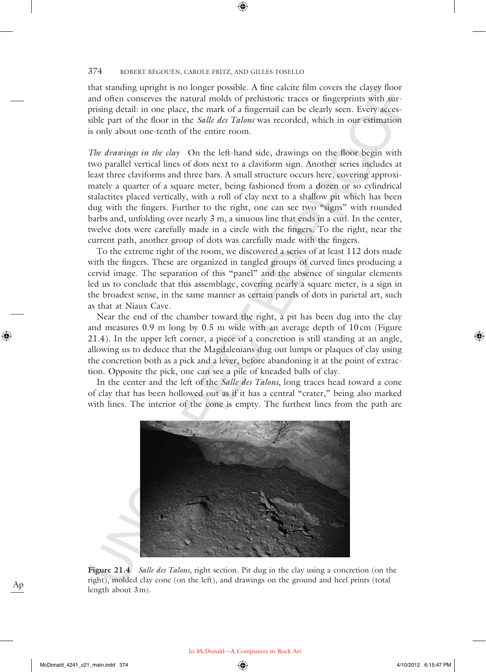that standing upright is no longer possible. A fine calcite film covers the clayey floor and often conserves the natural molds of prehistoric traces or fingerprints with surprising detail: in one place, the mark of a fingernail can be clearly seen. Every accessible part of the floor in the *Salle des Talons* was recorded, which in our estimation is only about one-tenth of the entire room.

*The drawings in the clay* On the left-hand side, drawings on the floor begin with two parallel vertical lines of dots next to a claviform sign. Another series includes at least three claviforms and three bars. A small structure occurs here, covering approximately a quarter of a square meter, being fashioned from a dozen or so cylindrical stalactites placed vertically, with a roll of clay next to a shallow pit which has been dug with the fingers. Further to the right, one can see two "signs" with rounded barbs and, unfolding over nearly 3 m, a sinuous line that ends in a curl. In the center, twelve dots were carefully made in a circle with the fingers. To the right, near the current path, another group of dots was carefully made with the fingers.

To the extreme right of the room, we discovered a series of at least 112 dots made with the fingers. These are organized in tangled groups of curved lines producing a cervid image. The separation of this "panel" and the absence of singular elements led us to conclude that this assemblage, covering nearly a square meter, is a sign in the broadest sense, in the same manner as certain panels of dots in parietal art, such as that at Niaux Cave.

Near the end of the chamber toward the right, a pit has been dug into the clay and measures 0.9 m long by 0.5 m wide with an average depth of 10cm (Figure 21.4). In the upper left corner, a piece of a concretion is still standing at an angle, allowing us to deduce that the Magdalenians dug out lumps or plaques of clay using the concretion both as a pick and a lever, before abandoning it at the point of extraction. Opposite the pick, one can see a pile of kneaded balls of clay.

In the center and the left of the *Salle des Talons*, long traces head toward a cone of clay that has been hollowed out as if it has a central "crater," being also marked with lines. The interior of the cone is empty. The furthest lines from the path are



**Figure 21.4** *Salle des Talons*, right section. Pit dug in the clay using a concretion (on the right), molded clay cone (on the left), and drawings on the ground and heel prints (total length about 3m).

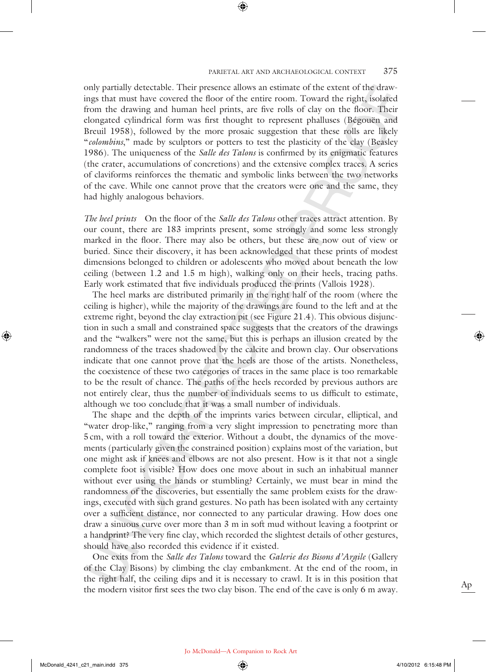# PARIETAL ART AND ARCHAEOLOGICAL CONTEXT 375

only partially detectable. Their presence allows an estimate of the extent of the drawings that must have covered the floor of the entire room. Toward the right, isolated from the drawing and human heel prints, are five rolls of clay on the floor. Their elongated cylindrical form was first thought to represent phalluses (Bégouën and Breuil 1958), followed by the more prosaic suggestion that these rolls are likely "*colombins*," made by sculptors or potters to test the plasticity of the clay (Beasley 1986). The uniqueness of the *Salle des Talons* is confirmed by its enigmatic features (the crater, accumulations of concretions) and the extensive complex traces. A series of claviforms reinforces the thematic and symbolic links between the two networks of the cave. While one cannot prove that the creators were one and the same, they had highly analogous behaviors.

⊕

*The heel prints* On the floor of the *Salle des Talons* other traces attract attention. By our count, there are 183 imprints present, some strongly and some less strongly marked in the floor. There may also be others, but these are now out of view or buried. Since their discovery, it has been acknowledged that these prints of modest dimensions belonged to children or adolescents who moved about beneath the low ceiling (between 1.2 and 1.5 m high), walking only on their heels, tracing paths. Early work estimated that five individuals produced the prints (Vallois 1928).

The heel marks are distributed primarily in the right half of the room (where the ceiling is higher), while the majority of the drawings are found to the left and at the extreme right, beyond the clay extraction pit (see Figure 21.4). This obvious disjunction in such a small and constrained space suggests that the creators of the drawings and the "walkers" were not the same, but this is perhaps an illusion created by the randomness of the traces shadowed by the calcite and brown clay. Our observations indicate that one cannot prove that the heels are those of the artists. Nonetheless, the coexistence of these two categories of traces in the same place is too remarkable to be the result of chance. The paths of the heels recorded by previous authors are not entirely clear, thus the number of individuals seems to us difficult to estimate, although we too conclude that it was a small number of individuals.

The shape and the depth of the imprints varies between circular, elliptical, and "water drop-like," ranging from a very slight impression to penetrating more than 5cm, with a roll toward the exterior. Without a doubt, the dynamics of the movements (particularly given the constrained position) explains most of the variation, but one might ask if knees and elbows are not also present. How is it that not a single complete foot is visible? How does one move about in such an inhabitual manner without ever using the hands or stumbling? Certainly, we must bear in mind the randomness of the discoveries, but essentially the same problem exists for the drawings, executed with such grand gestures. No path has been isolated with any certainty over a sufficient distance, nor connected to any particular drawing. How does one draw a sinuous curve over more than 3 m in soft mud without leaving a footprint or a handprint? The very fine clay, which recorded the slightest details of other gestures, should have also recorded this evidence if it existed.

One exits from the *Salle des Talons* toward the *Galerie des Bisons d'Argile* (Gallery of the Clay Bisons) by climbing the clay embankment. At the end of the room, in the right half, the ceiling dips and it is necessary to crawl. It is in this position that the modern visitor first sees the two clay bison. The end of the cave is only 6 m away.

⊕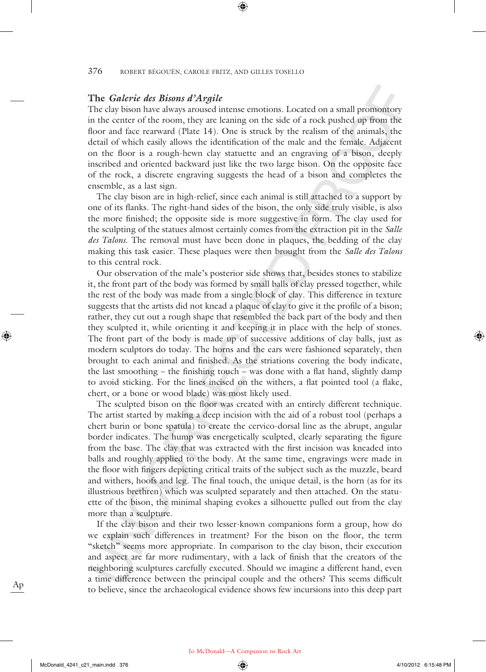# **The** *Galerie des Bisons d'Argile*

The clay bison have always aroused intense emotions. Located on a small promontory in the center of the room, they are leaning on the side of a rock pushed up from the floor and face rearward (Plate 14). One is struck by the realism of the animals, the detail of which easily allows the identification of the male and the female. Adjacent on the floor is a rough-hewn clay statuette and an engraving of a bison, deeply inscribed and oriented backward just like the two large bison. On the opposite face of the rock, a discrete engraving suggests the head of a bison and completes the ensemble, as a last sign.

⊕

The clay bison are in high-relief, since each animal is still attached to a support by one of its flanks. The right-hand sides of the bison, the only side truly visible, is also the more finished; the opposite side is more suggestive in form. The clay used for the sculpting of the statues almost certainly comes from the extraction pit in the *Salle des Talons*. The removal must have been done in plaques, the bedding of the clay making this task easier. These plaques were then brought from the *Salle des Talons* to this central rock.

Our observation of the male's posterior side shows that, besides stones to stabilize it, the front part of the body was formed by small balls of clay pressed together, while the rest of the body was made from a single block of clay. This difference in texture suggests that the artists did not knead a plaque of clay to give it the profile of a bison; rather, they cut out a rough shape that resembled the back part of the body and then they sculpted it, while orienting it and keeping it in place with the help of stones. The front part of the body is made up of successive additions of clay balls, just as modern sculptors do today. The horns and the ears were fashioned separately, then brought to each animal and finished. As the striations covering the body indicate, the last smoothing – the finishing touch – was done with a flat hand, slightly damp to avoid sticking. For the lines incised on the withers, a flat pointed tool (a flake, chert, or a bone or wood blade) was most likely used.

The sculpted bison on the floor was created with an entirely different technique. The artist started by making a deep incision with the aid of a robust tool (perhaps a chert burin or bone spatula) to create the cervico-dorsal line as the abrupt, angular border indicates. The hump was energetically sculpted, clearly separating the figure from the base. The clay that was extracted with the first incision was kneaded into balls and roughly applied to the body. At the same time, engravings were made in the floor with fingers depicting critical traits of the subject such as the muzzle, beard and withers, hoofs and leg. The final touch, the unique detail, is the horn (as for its illustrious brethren) which was sculpted separately and then attached. On the statuette of the bison, the minimal shaping evokes a silhouette pulled out from the clay more than a sculpture.

If the clay bison and their two lesser-known companions form a group, how do we explain such differences in treatment? For the bison on the floor, the term "sketch" seems more appropriate. In comparison to the clay bison, their execution and aspect are far more rudimentary, with a lack of finish that the creators of the neighboring sculptures carefully executed. Should we imagine a different hand, even a time difference between the principal couple and the others? This seems difficult to believe, since the archaeological evidence shows few incursions into this deep part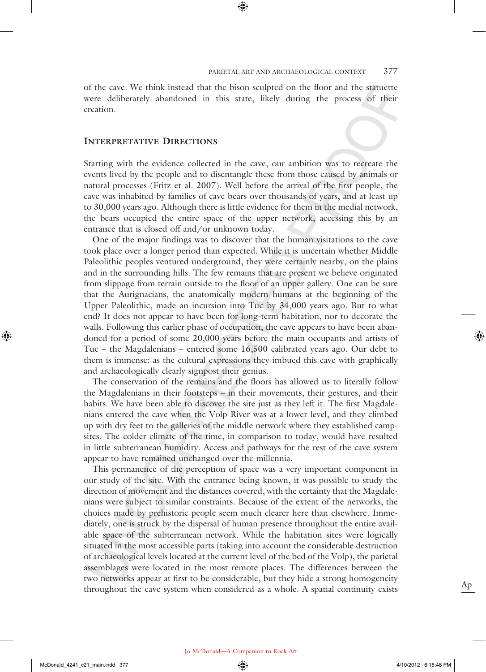of the cave. We think instead that the bison sculpted on the floor and the statuette were deliberately abandoned in this state, likely during the process of their creation.

⊕

# **Interpretative Directions**

Starting with the evidence collected in the cave, our ambition was to recreate the events lived by the people and to disentangle these from those caused by animals or natural processes (Fritz et al. 2007). Well before the arrival of the first people, the cave was inhabited by families of cave bears over thousands of years, and at least up to 30,000 years ago. Although there is little evidence for them in the medial network, the bears occupied the entire space of the upper network, accessing this by an entrance that is closed off and/or unknown today.

One of the major findings was to discover that the human visitations to the cave took place over a longer period than expected. While it is uncertain whether Middle Paleolithic peoples ventured underground, they were certainly nearby, on the plains and in the surrounding hills. The few remains that are present we believe originated from slippage from terrain outside to the floor of an upper gallery. One can be sure that the Aurignacians, the anatomically modern humans at the beginning of the Upper Paleolithic, made an incursion into Tuc by 34,000 years ago. But to what end? It does not appear to have been for long-term habitation, nor to decorate the walls. Following this earlier phase of occupation, the cave appears to have been abandoned for a period of some 20,000 years before the main occupants and artists of Tuc – the Magdalenians – entered some 16,500 calibrated years ago. Our debt to them is immense: as the cultural expressions they imbued this cave with graphically and archaeologically clearly signpost their genius.

The conservation of the remains and the floors has allowed us to literally follow the Magdalenians in their footsteps – in their movements, their gestures, and their habits. We have been able to discover the site just as they left it. The first Magdalenians entered the cave when the Volp River was at a lower level, and they climbed up with dry feet to the galleries of the middle network where they established campsites. The colder climate of the time, in comparison to today, would have resulted in little subterranean humidity. Access and pathways for the rest of the cave system appear to have remained unchanged over the millennia.

This permanence of the perception of space was a very important component in our study of the site. With the entrance being known, it was possible to study the direction of movement and the distances covered, with the certainty that the Magdalenians were subject to similar constraints. Because of the extent of the networks, the choices made by prehistoric people seem much clearer here than elsewhere. Immediately, one is struck by the dispersal of human presence throughout the entire available space of the subterranean network. While the habitation sites were logically situated in the most accessible parts (taking into account the considerable destruction of archaeological levels located at the current level of the bed of the Volp), the parietal assemblages were located in the most remote places. The differences between the two networks appear at first to be considerable, but they hide a strong homogeneity throughout the cave system when considered as a whole. A spatial continuity exists

⊕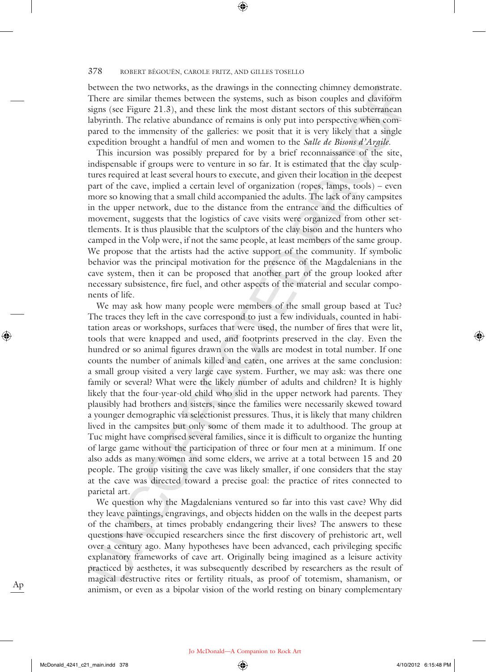between the two networks, as the drawings in the connecting chimney demonstrate. There are similar themes between the systems, such as bison couples and claviform signs (see Figure 21.3), and these link the most distant sectors of this subterranean labyrinth. The relative abundance of remains is only put into perspective when compared to the immensity of the galleries: we posit that it is very likely that a single expedition brought a handful of men and women to the *Salle de Bisons d'Argile*.

⊕

This incursion was possibly prepared for by a brief reconnaissance of the site, indispensable if groups were to venture in so far. It is estimated that the clay sculptures required at least several hours to execute, and given their location in the deepest part of the cave, implied a certain level of organization (ropes, lamps, tools) – even more so knowing that a small child accompanied the adults. The lack of any campsites in the upper network, due to the distance from the entrance and the difficulties of movement, suggests that the logistics of cave visits were organized from other settlements. It is thus plausible that the sculptors of the clay bison and the hunters who camped in the Volp were, if not the same people, at least members of the same group. We propose that the artists had the active support of the community. If symbolic behavior was the principal motivation for the presence of the Magdalenians in the cave system, then it can be proposed that another part of the group looked after necessary subsistence, fire fuel, and other aspects of the material and secular components of life.

We may ask how many people were members of the small group based at Tuc? The traces they left in the cave correspond to just a few individuals, counted in habitation areas or workshops, surfaces that were used, the number of fires that were lit, tools that were knapped and used, and footprints preserved in the clay. Even the hundred or so animal figures drawn on the walls are modest in total number. If one counts the number of animals killed and eaten, one arrives at the same conclusion: a small group visited a very large cave system. Further, we may ask: was there one family or several? What were the likely number of adults and children? It is highly likely that the four-year-old child who slid in the upper network had parents. They plausibly had brothers and sisters, since the families were necessarily skewed toward a younger demographic via selectionist pressures. Thus, it is likely that many children lived in the campsites but only some of them made it to adulthood. The group at Tuc might have comprised several families, since it is difficult to organize the hunting of large game without the participation of three or four men at a minimum. If one also adds as many women and some elders, we arrive at a total between 15 and 20 people. The group visiting the cave was likely smaller, if one considers that the stay at the cave was directed toward a precise goal: the practice of rites connected to parietal art.

We question why the Magdalenians ventured so far into this vast cave? Why did they leave paintings, engravings, and objects hidden on the walls in the deepest parts of the chambers, at times probably endangering their lives? The answers to these questions have occupied researchers since the first discovery of prehistoric art, well over a century ago. Many hypotheses have been advanced, each privileging specific explanatory frameworks of cave art. Originally being imagined as a leisure activity practiced by aesthetes, it was subsequently described by researchers as the result of magical destructive rites or fertility rituals, as proof of totemism, shamanism, or animism, or even as a bipolar vision of the world resting on binary complementary

Ap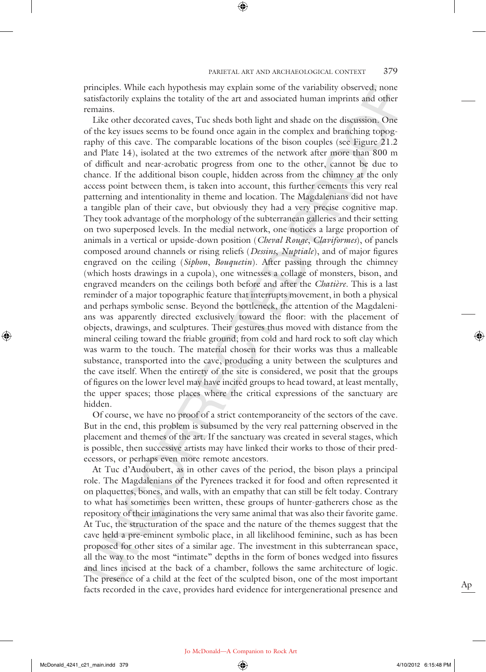principles. While each hypothesis may explain some of the variability observed, none satisfactorily explains the totality of the art and associated human imprints and other remains.

⊕

Like other decorated caves, Tuc sheds both light and shade on the discussion. One of the key issues seems to be found once again in the complex and branching topography of this cave. The comparable locations of the bison couples (see Figure 21.2 and Plate 14), isolated at the two extremes of the network after more than 800 m of difficult and near-acrobatic progress from one to the other, cannot be due to chance. If the additional bison couple, hidden across from the chimney at the only access point between them, is taken into account, this further cements this very real patterning and intentionality in theme and location. The Magdalenians did not have a tangible plan of their cave, but obviously they had a very precise cognitive map. They took advantage of the morphology of the subterranean galleries and their setting on two superposed levels. In the medial network, one notices a large proportion of animals in a vertical or upside-down position (*Cheval Rouge*, *Claviformes*), of panels composed around channels or rising reliefs (*Dessins*, *Nuptiale*), and of major figures engraved on the ceiling (*Siphon*, *Bouquetin*). After passing through the chimney (which hosts drawings in a cupola), one witnesses a collage of monsters, bison, and engraved meanders on the ceilings both before and after the *Chatière*. This is a last reminder of a major topographic feature that interrupts movement, in both a physical and perhaps symbolic sense. Beyond the bottleneck, the attention of the Magdalenians was apparently directed exclusively toward the floor: with the placement of objects, drawings, and sculptures. Their gestures thus moved with distance from the mineral ceiling toward the friable ground; from cold and hard rock to soft clay which was warm to the touch. The material chosen for their works was thus a malleable substance, transported into the cave, producing a unity between the sculptures and the cave itself. When the entirety of the site is considered, we posit that the groups of figures on the lower level may have incited groups to head toward, at least mentally, the upper spaces; those places where the critical expressions of the sanctuary are hidden.

Of course, we have no proof of a strict contemporaneity of the sectors of the cave. But in the end, this problem is subsumed by the very real patterning observed in the placement and themes of the art. If the sanctuary was created in several stages, which is possible, then successive artists may have linked their works to those of their predecessors, or perhaps even more remote ancestors.

At Tuc d'Audoubert, as in other caves of the period, the bison plays a principal role. The Magdalenians of the Pyrenees tracked it for food and often represented it on plaquettes, bones, and walls, with an empathy that can still be felt today. Contrary to what has sometimes been written, these groups of hunter-gatherers chose as the repository of their imaginations the very same animal that was also their favorite game. At Tuc, the structuration of the space and the nature of the themes suggest that the cave held a pre-eminent symbolic place, in all likelihood feminine, such as has been proposed for other sites of a similar age. The investment in this subterranean space, all the way to the most "intimate" depths in the form of bones wedged into fissures and lines incised at the back of a chamber, follows the same architecture of logic. The presence of a child at the feet of the sculpted bison, one of the most important facts recorded in the cave, provides hard evidence for intergenerational presence and

Ap

⊕